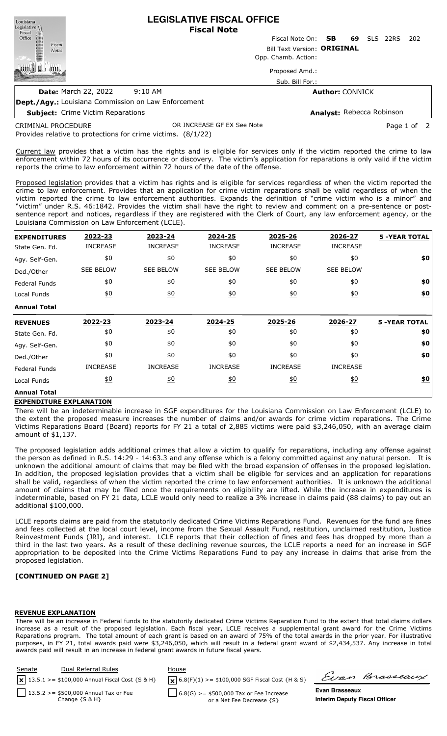**LEGISLATIVE FISCAL OFFICE** Louisiana Legislative <sub>[1]</sub> **Fiscal Note** Fiscal Fiscal Note On: **SB 69** SLS 22RS 202 Office Fiscal Bill Text Version: **ORIGINAL Notes** Opp. Chamb. Action: 圓 Proposed Amd.: Sub. Bill For.: **Date:** March 22, 2022 9:10 AM **Author:** CONNICK

**Dept./Agy.:** Louisiana Commission on Law Enforcement

**Subject:** Crime Victim Reparations

**Analyst:** Rebecca Robinson

Provides relative to protections for crime victims. (8/1/22) CRIMINAL PROCEDURE OR INCREASE GF EX See Note **Page 1 of 2** 

Current law provides that a victim has the rights and is eligible for services only if the victim reported the crime to law

enforcement within 72 hours of its occurrence or discovery. The victim's application for reparations is only valid if the victim reports the crime to law enforcement within 72 hours of the date of the offense. Proposed legislation provides that a victim has rights and is eligible for services regardless of when the victim reported the

crime to law enforcement. Provides that an application for crime victim reparations shall be valid regardless of when the victim reported the crime to law enforcement authorities. Expands the definition of "crime victim who is a minor" and "victim" under R.S. 46:1842. Provides the victim shall have the right to review and comment on a pre-sentence or postsentence report and notices, regardless if they are registered with the Clerk of Court, any law enforcement agency, or the Louisiana Commission on Law Enforcement (LCLE).

| <b>EXPENDITURES</b>  | 2022-23           | 2023-24          | 2024-25          | 2025-26          | 2026-27           | <b>5 -YEAR TOTAL</b> |
|----------------------|-------------------|------------------|------------------|------------------|-------------------|----------------------|
| State Gen. Fd.       | <b>INCREASE</b>   | <b>INCREASE</b>  | <b>INCREASE</b>  | <b>INCREASE</b>  | <b>INCREASE</b>   |                      |
| Agy. Self-Gen.       | \$0               | \$0              | \$0              | \$0              | \$0               | \$0                  |
| Ded./Other           | <b>SEE BELOW</b>  | <b>SEE BELOW</b> | <b>SEE BELOW</b> | <b>SEE BELOW</b> | <b>SEE BELOW</b>  |                      |
| Federal Funds        | \$0               | \$0              | \$0              | \$0              | \$0               | \$0                  |
| Local Funds          | $\underline{\$0}$ | $\underline{40}$ | 60               | 60               | $\underline{40}$  | $\underline{\$0}$    |
| <b>Annual Total</b>  |                   |                  |                  |                  |                   |                      |
| <b>REVENUES</b>      | 2022-23           | 2023-24          | 2024-25          | 2025-26          | 2026-27           | <b>5 -YEAR TOTAL</b> |
|                      |                   |                  |                  |                  |                   |                      |
| State Gen. Fd.       | \$0               | \$0              | \$0              | \$0              | \$0               | \$0                  |
| Agy. Self-Gen.       | \$0               | \$0              | \$0              | \$0              | \$0               | \$0                  |
| Ded./Other           | \$0               | \$0              | \$0              | \$0              | \$0               | \$0                  |
| <b>Federal Funds</b> | <b>INCREASE</b>   | <b>INCREASE</b>  | <b>INCREASE</b>  | <b>INCREASE</b>  | <b>INCREASE</b>   |                      |
| Local Funds          | <u>\$0</u>        | 60               | <u>\$0</u>       | <u>\$0</u>       | $\underline{\$0}$ | \$0                  |

## **EXPENDITURE EXPLANATION**

There will be an indeterminable increase in SGF expenditures for the Louisiana Commission on Law Enforcement (LCLE) to the extent the proposed measure increases the number of claims and/or awards for crime victim reparations. The Crime Victims Reparations Board (Board) reports for FY 21 a total of 2,885 victims were paid \$3,246,050, with an average claim amount of \$1,137.

The proposed legislation adds additional crimes that allow a victim to qualify for reparations, including any offense against the person as defined in R.S. 14:29 - 14:63.3 and any offense which is a felony committed against any natural person. It is unknown the additional amount of claims that may be filed with the broad expansion of offenses in the proposed legislation. In addition, the proposed legislation provides that a victim shall be eligible for services and an application for reparations shall be valid, regardless of when the victim reported the crime to law enforcement authorities. It is unknown the additional amount of claims that may be filed once the requirements on eligibility are lifted. While the increase in expenditures is indeterminable, based on FY 21 data, LCLE would only need to realize a 3% increase in claims paid (88 claims) to pay out an additional \$100,000.

LCLE reports claims are paid from the statutorily dedicated Crime Victims Reparations Fund. Revenues for the fund are fines and fees collected at the local court level, income from the Sexual Assault Fund, restitution, unclaimed restitution, Justice Reinvestment Funds (JRI), and interest. LCLE reports that their collection of fines and fees has dropped by more than a third in the last two years. As a result of these declining revenue sources, the LCLE reports a need for an increase in SGF appropriation to be deposited into the Crime Victims Reparations Fund to pay any increase in claims that arise from the proposed legislation.

## **[CONTINUED ON PAGE 2]**

#### **REVENUE EXPLANATION**

There will be an increase in Federal funds to the statutorily dedicated Crime Victims Reparation Fund to the extent that total claims dollars increase as a result of the proposed legislation. Each fiscal year, LCLE receives a supplemental grant award for the Crime Victims Reparations program. The total amount of each grant is based on an award of 75% of the total awards in the prior year. For illustrative purposes, in FY 21, total awards paid were \$3,246,050, which will result in a federal grant award of \$2,434,537. Any increase in total awards paid will result in an increase in federal grant awards in future fiscal years.

| Senate | Dual Referral Rules<br>$\boxed{\mathbf{x}}$ 13.5.1 >= \$100,000 Annual Fiscal Cost {S & H} | House<br>$\mathbf{X}$ 6.8(F)(1) >= \$100,000 SGF Fiscal Cost {H & S} | Evan Brasseaux                       |
|--------|--------------------------------------------------------------------------------------------|----------------------------------------------------------------------|--------------------------------------|
|        | 13.5.2 > = \$500,000 Annual Tax or Fee                                                     | $6.8(G)$ >= \$500,000 Tax or Fee Increase                            | <b>Evan Brasseaux</b>                |
|        | Change $\{S \& H\}$                                                                        | or a Net Fee Decrease {S}                                            | <b>Interim Deputy Fiscal Officer</b> |